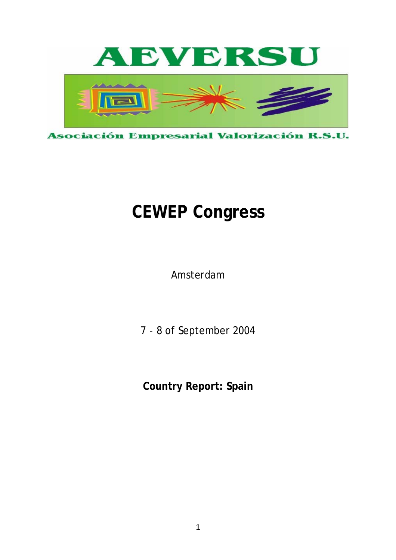

# **CEWEP Congress**

Amsterdam

7 - 8 of September 2004

**Country Report: Spain**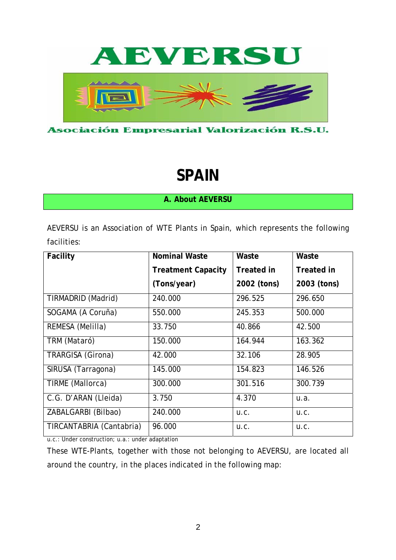

Asociación Empresarial Valorización R.S.U.

# **SPAIN**

**A. About AEVERSU** 

AEVERSU is an Association of WTE Plants in Spain, which represents the following facilities:

| Facility                 | <b>Nominal Waste</b>      | Waste             | Waste             |
|--------------------------|---------------------------|-------------------|-------------------|
|                          | <b>Treatment Capacity</b> | <b>Treated in</b> | <b>Treated in</b> |
|                          | (Tons/year)               | 2002 (tons)       | 2003 (tons)       |
| TIRMADRID (Madrid)       | 240.000                   | 296.525           | 296.650           |
| SOGAMA (A Coruña)        | 550.000                   | 245.353           | 500.000           |
| REMESA (Melilla)         | 33.750                    | 40.866            | 42.500            |
| TRM (Mataró)             | 150.000                   | 164.944           | 163.362           |
| TRARGISA (Girona)        | 42.000                    | 32.106            | 28.905            |
| SIRUSA (Tarragona)       | 145.000                   | 154.823           | 146.526           |
| TIRME (Mallorca)         | 300.000                   | 301.516           | 300.739           |
| C.G. D'ARAN (Lleida)     | 3.750                     | 4.370             | u.a.              |
| ZABALGARBI (Bilbao)      | 240.000                   | U.C.              | U.C.              |
| TIRCANTABRIA (Cantabria) | 96.000                    | U.C.              | U.C.              |

u.c.: Under construction; u.a.: under adaptation

These WTE-Plants, together with those not belonging to AEVERSU, are located all around the country, in the places indicated in the following map: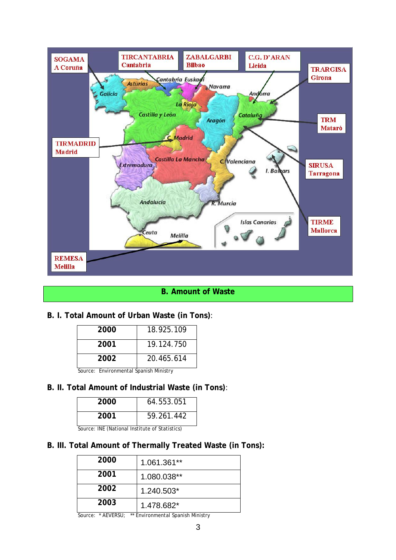

# **B. Amount of Waste**

# **B. I. Total Amount of Urban Waste (in Tons)**:

| 2000 | 18.925.109 |
|------|------------|
| 2001 | 19.124.750 |
| 2002 | 20.465.614 |

Source: Environmental Spanish Ministry

# **B. II. Total Amount of Industrial Waste (in Tons)**:

| 2000 | 64.553.051 |
|------|------------|
| 2001 | 59.261.442 |

Source: INE (National Institute of Statistics)

# **B. III. Total Amount of Thermally Treated Waste (in Tons):**

| 2000 | 1.061.361** |
|------|-------------|
| 2001 | 1.080.038** |
| 2002 | 1.240.503*  |
| 2003 | 1.478.682*  |

Source: \* AEVERSU; \*\* Environmental Spanish Ministry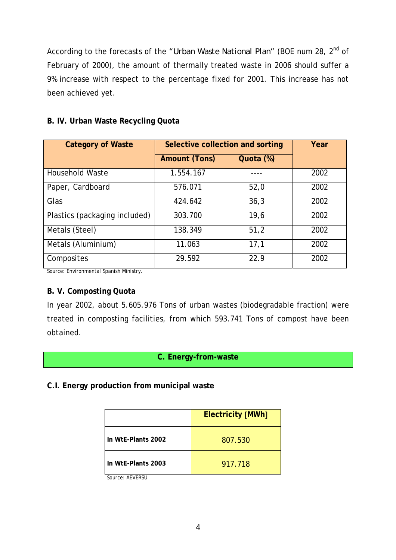According to the forecasts of the *"Urban Waste National Plan"* (BOE num 28, 2nd of February of 2000), the amount of thermally treated waste in 2006 should suffer a 9% increase with respect to the percentage fixed for 2001. This increase has not been achieved yet.

| <b>Category of Waste</b>      | Selective collection and sorting |           | Year |
|-------------------------------|----------------------------------|-----------|------|
|                               | <b>Amount (Tons)</b>             | Quota (%) |      |
| <b>Household Waste</b>        | 1.554.167                        |           | 2002 |
| Paper, Cardboard              | 576.071                          | 52,0      | 2002 |
| Glas                          | 424.642                          | 36,3      | 2002 |
| Plastics (packaging included) | 303.700                          | 19,6      | 2002 |
| Metals (Steel)                | 138.349                          | 51,2      | 2002 |
| Metals (Aluminium)            | 11.063                           | 17,1      | 2002 |
| Composites                    | 29.592                           | 22.9      | 2002 |

# **B. IV. Urban Waste Recycling Quota**

Source: Environmental Spanish Ministry.

# **B. V. Composting Quota**

In year 2002, about 5.605.976 Tons of urban wastes (biodegradable fraction) were treated in composting facilities, from which 593.741 Tons of compost have been obtained.

# **C. Energy-from-waste**

**C.I. Energy production from municipal waste** 

|                                 | <b>Electricity [MWh]</b> |  |
|---------------------------------|--------------------------|--|
| In WtE-Plants 2002              | 807.530                  |  |
| In W <sub>te</sub> -Plants 2003 | 917.718                  |  |

Source: AEVERSU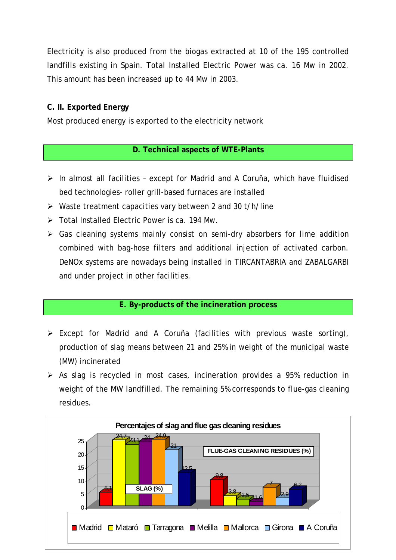Electricity is also produced from the biogas extracted at 10 of the 195 controlled landfills existing in Spain. Total Installed Electric Power was ca. 16 Mw in 2002. This amount has been increased up to 44 Mw in 2003.

# **C. II. Exported Energy**

Most produced energy is exported to the electricity network

# **D. Technical aspects of WTE-Plants**

- ¾ In almost all facilities except for Madrid and A Coruña, which have fluidised bed technologies- roller grill-based furnaces are installed
- $\triangleright$  Waste treatment capacities vary between 2 and 30 t/h/line
- $\triangleright$  Total Installed Electric Power is ca. 194 Mw.
- $\triangleright$  Gas cleaning systems mainly consist on semi-dry absorbers for lime addition combined with bag-hose filters and additional injection of activated carbon. DeNOx systems are nowadays being installed in TIRCANTABRIA and ZABALGARBI and under project in other facilities.

# **E. By-products of the incineration process**

- $\triangleright$  Except for Madrid and A Coruña (facilities with previous waste sorting), production of slag means between 21 and 25% in weight of the municipal waste (MW) incinerated
- $\triangleright$  As slag is recycled in most cases, incineration provides a 95% reduction in weight of the MW landfilled. The remaining 5% corresponds to flue-gas cleaning residues.

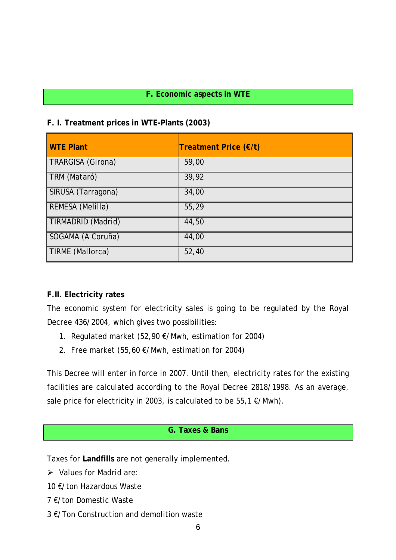# **F. Economic aspects in WTE**

# **F. I. Treatment prices in WTE-Plants (2003)**

| <b>WTE Plant</b>   | Treatment Price (€/t) |
|--------------------|-----------------------|
| TRARGISA (Girona)  | 59,00                 |
| TRM (Mataró)       | 39,92                 |
| SIRUSA (Tarragona) | 34,00                 |
| REMESA (Melilla)   | 55,29                 |
| TIRMADRID (Madrid) | 44,50                 |
| SOGAMA (A Coruña)  | 44,00                 |
| TIRME (Mallorca)   | 52,40                 |

# **F.II. Electricity rates**

The economic system for electricity sales is going to be regulated by the Royal Decree 436/2004, which gives two possibilities:

- 1. Regulated market (52,90 €/Mwh, estimation for 2004)
- 2. Free market (55,60 €/Mwh, estimation for 2004)

This Decree will enter in force in 2007. Until then, electricity rates for the existing facilities are calculated according to the Royal Decree 2818/1998. As an average, sale price for electricity in 2003, is calculated to be 55,1  $\epsilon$ /Mwh).

# **G. Taxes & Bans**

Taxes for **Landfills** are not generally implemented.

 $\triangleright$  Values for Madrid are:

10 €/ton Hazardous Waste

- 7 €/ton Domestic Waste
- 3 €/Ton Construction and demolition waste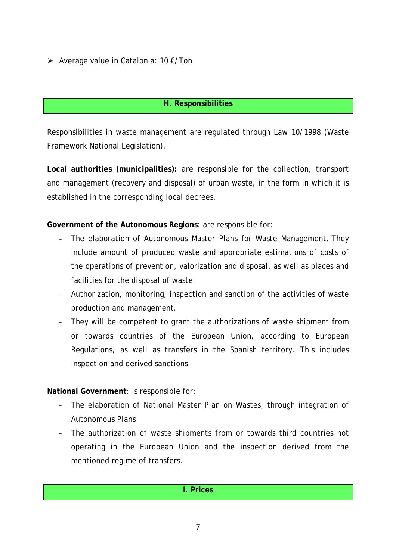¾ Average value in Catalonia: 10 €/Ton

# **H. Responsibilities**

Responsibilities in waste management are regulated through Law 10/1998 (Waste Framework National Legislation).

**Local authorities (municipalities):** are responsible for the collection, transport and management (recovery and disposal) of urban waste, in the form in which it is established in the corresponding local decrees.

**Government of the Autonomous Regions**: are responsible for:

- The elaboration of Autonomous Master Plans for Waste Management. They include amount of produced waste and appropriate estimations of costs of the operations of prevention, valorization and disposal, as well as places and facilities for the disposal of waste.
- Authorization, monitoring, inspection and sanction of the activities of waste production and management.
- They will be competent to grant the authorizations of waste shipment from or towards countries of the European Union, according to European Regulations, as well as transfers in the Spanish territory. This includes inspection and derived sanctions.

**National Government**: is responsible for:

- The elaboration of National Master Plan on Wastes, through integration of Autonomous Plans
- The authorization of waste shipments from or towards third countries not operating in the European Union and the inspection derived from the mentioned regime of transfers.

| I. Prices |
|-----------|
|-----------|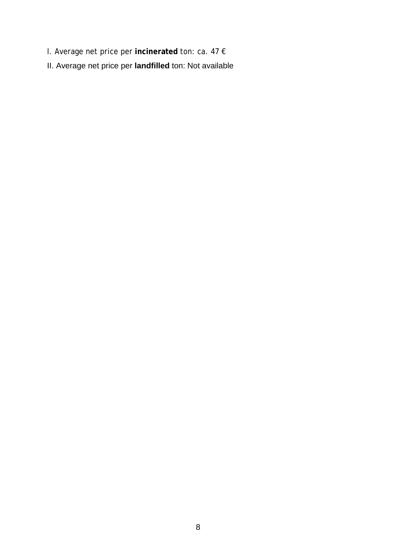- I. Average net price per **incinerated** ton: ca. 47 €
- II. Average net price per **landfilled** ton: Not available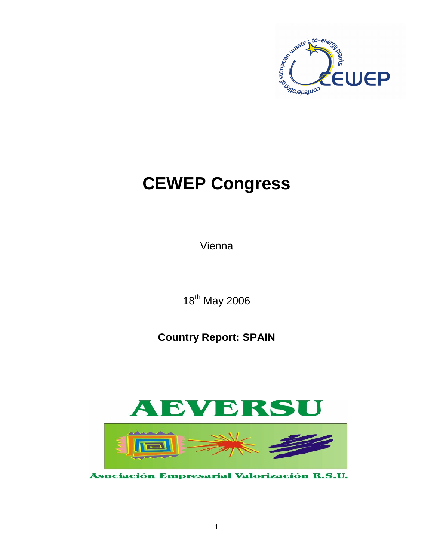

# **CEWEP Congress**

Vienna

18<sup>th</sup> May 2006

**Country Report: SPAIN**



Asociación Empresarial Valorización R.S.U.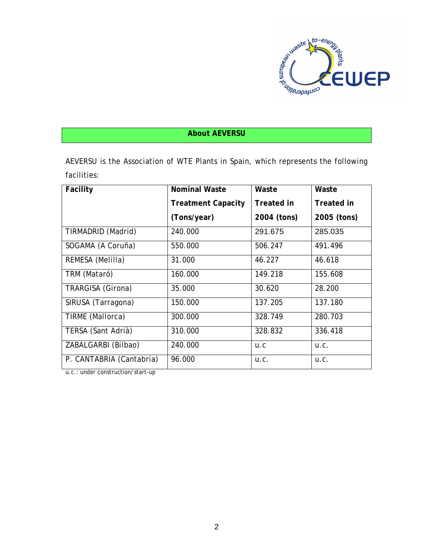

# **About AEVERSU**

AEVERSU is the Association of WTE Plants in Spain, which represents the following facilities:

| Facility                 | Nominal Waste             | Waste       | Waste       |
|--------------------------|---------------------------|-------------|-------------|
|                          | <b>Treatment Capacity</b> | Treated in  | Treated in  |
|                          | (Tons/year)               | 2004 (tons) | 2005 (tons) |
| TIRMADRID (Madrid)       | 240.000                   | 291.675     | 285.035     |
| SOGAMA (A Coruña)        | 550.000                   | 506.247     | 491.496     |
| REMESA (Melilla)         | 31.000                    | 46.227      | 46.618      |
| TRM (Mataró)             | 160.000                   | 149.218     | 155.608     |
| TRARGISA (Girona)        | 35.000                    | 30.620      | 28.200      |
| SIRUSA (Tarragona)       | 150.000                   | 137.205     | 137.180     |
| TIRME (Mallorca)         | 300.000                   | 328.749     | 280.703     |
| TERSA (Sant Adrià)       | 310.000                   | 328.832     | 336.418     |
| ZABALGARBI (Bilbao)      | 240.000                   | U.C         | U.C.        |
| P. CANTABRIA (Cantabria) | 96.000                    | U.C.        | U.C.        |

u.c.: under construction/start-up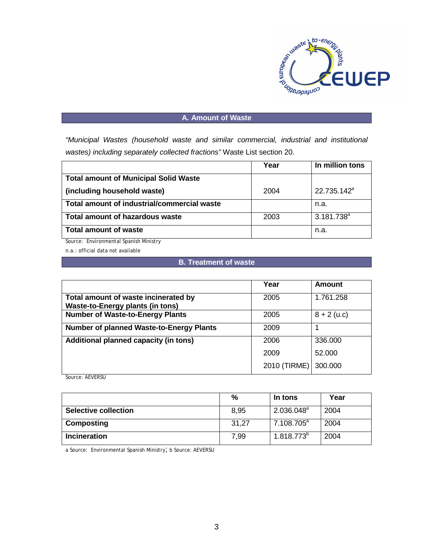

#### **A. Amount of Waste**

*"Municipal Wastes (household waste and similar commercial, industrial and institutional wastes) including separately collected fractions"* Waste List section 20.

|                                              | Year | In million tons         |
|----------------------------------------------|------|-------------------------|
| <b>Total amount of Municipal Solid Waste</b> |      |                         |
| (including household waste)                  | 2004 | 22.735.142 <sup>a</sup> |
| Total amount of industrial/commercial waste  |      | n.a.                    |
| <b>Total amount of hazardous waste</b>       | 2003 | $3.181.738^{a}$         |
| <b>Total amount of waste</b>                 |      | n.a.                    |

Source: Environmental Spanish Ministry

n.a.: official data not available

#### **B. Treatment of waste**

|                                                                          | Year         | Amount        |
|--------------------------------------------------------------------------|--------------|---------------|
| Total amount of waste incinerated by<br>Waste-to-Energy plants (in tons) | 2005         | 1.761.258     |
| <b>Number of Waste-to-Energy Plants</b>                                  | 2005         | $8 + 2$ (u.c) |
| <b>Number of planned Waste-to-Energy Plants</b>                          | 2009         |               |
| Additional planned capacity (in tons)                                    | 2006         | 336.000       |
|                                                                          | 2009         | 52.000        |
|                                                                          | 2010 (TIRME) | 300.000       |

Source: AEVERSU

|                             | %     | In tons         | Year |
|-----------------------------|-------|-----------------|------|
| <b>Selective collection</b> | 8.95  | $2.036.048^a$   | 2004 |
| Composting                  | 31,27 | $7.108.705^a$   | 2004 |
| Incineration                | 7,99  | $1.818.773^{b}$ | 2004 |

a Source: Environmental Spanish Ministry; b Source: AEVERSU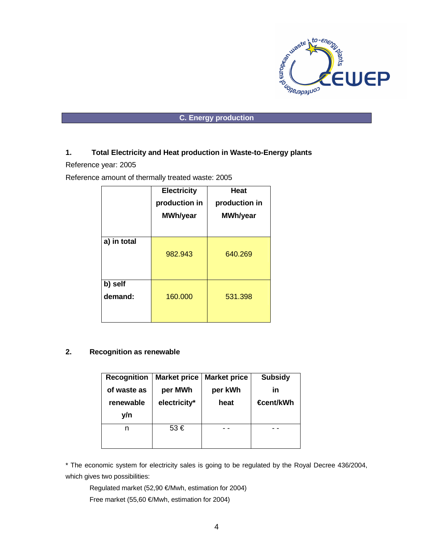

#### **C. Energy production**

#### **1. Total Electricity and Heat production in Waste-to-Energy plants**

Reference year: 2005

Reference amount of thermally treated waste: 2005

|                    | <b>Electricity</b><br>production in<br>MWh/year | <b>Heat</b><br>production in<br><b>MWh/year</b> |
|--------------------|-------------------------------------------------|-------------------------------------------------|
| a) in total        | 982.943                                         | 640.269                                         |
| b) self<br>demand: | 160.000                                         | 531.398                                         |

#### **2. Recognition as renewable**

| <b>Recognition</b> | <b>Market price</b> | <b>Market price</b> | <b>Subsidy</b>   |
|--------------------|---------------------|---------------------|------------------|
| of waste as        | per MWh             | per kWh             | in               |
| renewable          | electricity*        | heat                | <b>€cent/kWh</b> |
| y/n                |                     |                     |                  |
| n                  | $53 \in$            |                     |                  |
|                    |                     |                     |                  |

\* The economic system for electricity sales is going to be regulated by the Royal Decree 436/2004, which gives two possibilities:

Regulated market (52,90 €/Mwh, estimation for 2004)

Free market (55,60 €/Mwh, estimation for 2004)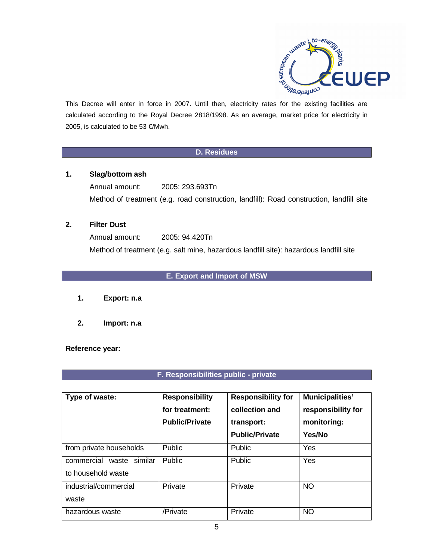

This Decree will enter in force in 2007. Until then, electricity rates for the existing facilities are calculated according to the Royal Decree 2818/1998. As an average, market price for electricity in 2005, is calculated to be 53 €/Mwh.

#### **D. Residues**

#### **1. Slag/bottom ash**

Annual amount: 2005: 293.693Tn Method of treatment (e.g. road construction, landfill): Road construction, landfill site

#### **2. Filter Dust**

Annual amount: 2005: 94.420Tn Method of treatment (e.g. salt mine, hazardous landfill site): hazardous landfill site

# **E. Export and Import of MSW**

- **1. Export: n.a**
- **2. Import: n.a**

**Reference year:**

#### **F. Responsibilities public - private**

| Type of waste:                                       | <b>Responsibility</b><br>for treatment:<br><b>Public/Private</b> | <b>Responsibility for</b><br>collection and<br>transport:<br><b>Public/Private</b> | <b>Municipalities'</b><br>responsibility for<br>monitoring:<br>Yes/No |
|------------------------------------------------------|------------------------------------------------------------------|------------------------------------------------------------------------------------|-----------------------------------------------------------------------|
| from private households                              | Public                                                           | <b>Public</b>                                                                      | Yes                                                                   |
| commercial<br>similar<br>waste<br>to household waste | <b>Public</b>                                                    | <b>Public</b>                                                                      | Yes                                                                   |
| industrial/commercial<br>waste                       | Private                                                          | Private                                                                            | NO                                                                    |
| hazardous waste                                      | /Private                                                         | Private                                                                            | <b>NO</b>                                                             |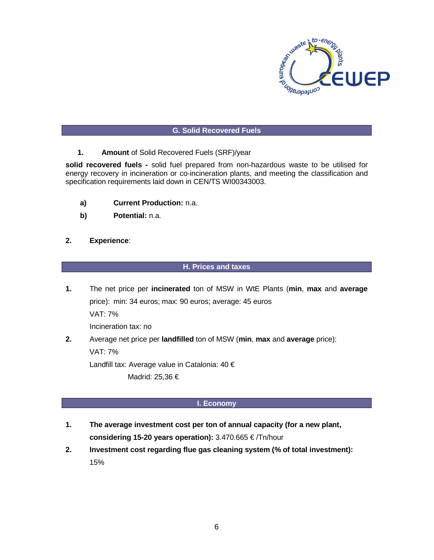

#### **G. Solid Recovered Fuels**

**1. Amount** of Solid Recovered Fuels (SRF)/year

**solid recovered fuels -** solid fuel prepared from non-hazardous waste to be utilised for energy recovery in incineration or co-incineration plants, and meeting the classification and specification requirements laid down in CEN/TS WI00343003.

- **a) Current Production:** n.a.
- **b) Potential:** n.a.
- **2. Experience**:

#### **H. Prices and taxes**

**1.** The net price per **incinerated** ton of MSW in WtE Plants (**min**, **max** and **average** price): min: 34 euros; max: 90 euros; average: 45 euros

VAT: 7%

Incineration tax: no

**2.** Average net price per **landfilled** ton of MSW (**min**, **max** and **average** price):

VAT: 7%

Landfill tax: Average value in Catalonia: 40 €

Madrid: 25,36 €

#### **I. Economy**

- **1. The average investment cost per ton of annual capacity (for a new plant, considering 15-20 years operation):** 3.470.665 € /Tn/hour
- **2. Investment cost regarding flue gas cleaning system (% of total investment):** 15%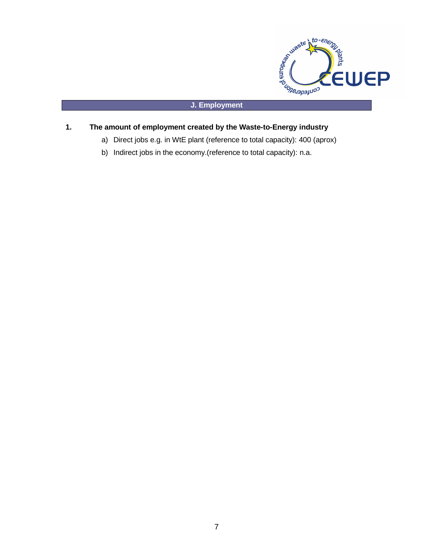

#### **J. Employment**

## **1. The amount of employment created by the Waste-to-Energy industry**

- a) Direct jobs e.g. in WtE plant (reference to total capacity): 400 (aprox)
- b) Indirect jobs in the economy.(reference to total capacity): n.a.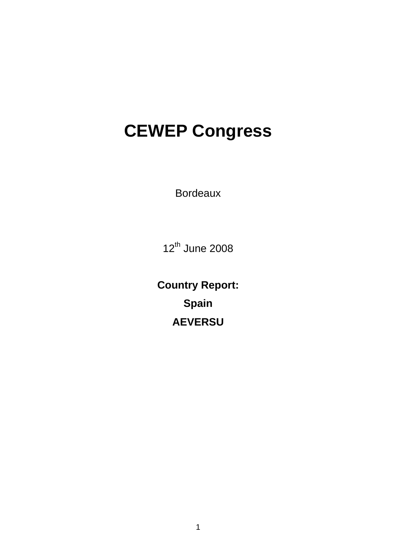# **CEWEP Congress**

Bordeaux

12<sup>th</sup> June 2008

**Country Report: Spain AEVERSU**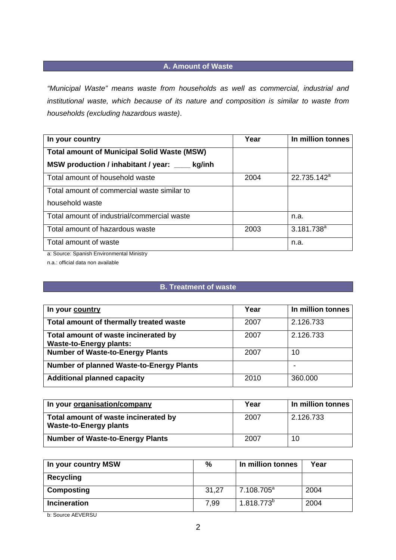# **A. Amount of Waste**

*"Municipal Waste" means waste from households as well as commercial, industrial and institutional waste, which because of its nature and composition is similar to waste from households (excluding hazardous waste)*.

| In your country                                    | Year | In million tonnes       |
|----------------------------------------------------|------|-------------------------|
| <b>Total amount of Municipal Solid Waste (MSW)</b> |      |                         |
| MSW production / inhabitant / year:<br>kg/inh      |      |                         |
| Total amount of household waste                    | 2004 | 22.735.142 <sup>a</sup> |
| Total amount of commercial waste similar to        |      |                         |
| household waste                                    |      |                         |
| Total amount of industrial/commercial waste        |      | n.a.                    |
| Total amount of hazardous waste                    | 2003 | $3.181.738^{a}$         |
| Total amount of waste                              |      | n.a.                    |

a: Source: Spanish Environmental Ministry

n.a.: official data non available

## **B. Treatment of waste**

| In your country                                                        | Year | In million tonnes |
|------------------------------------------------------------------------|------|-------------------|
| Total amount of thermally treated waste                                | 2007 | 2.126.733         |
| Total amount of waste incinerated by<br><b>Waste-to-Energy plants:</b> | 2007 | 2.126.733         |
| <b>Number of Waste-to-Energy Plants</b>                                | 2007 | 10                |
| <b>Number of planned Waste-to-Energy Plants</b>                        |      |                   |
| <b>Additional planned capacity</b>                                     | 2010 | 360.000           |

| In your organisation/company                                          | Year | In million tonnes |
|-----------------------------------------------------------------------|------|-------------------|
| Total amount of waste incinerated by<br><b>Waste-to-Energy plants</b> | 2007 | 2.126.733         |
| <b>Number of Waste-to-Energy Plants</b>                               | 2007 | 10                |

| In your country MSW | %     | In million tonnes      | Year |
|---------------------|-------|------------------------|------|
| <b>Recycling</b>    |       |                        |      |
| Composting          | 31,27 | 7.108.705 <sup>a</sup> | 2004 |
| <b>Incineration</b> | 7.99  | $1.818.773^{b}$        | 2004 |

b: Source AEVERSU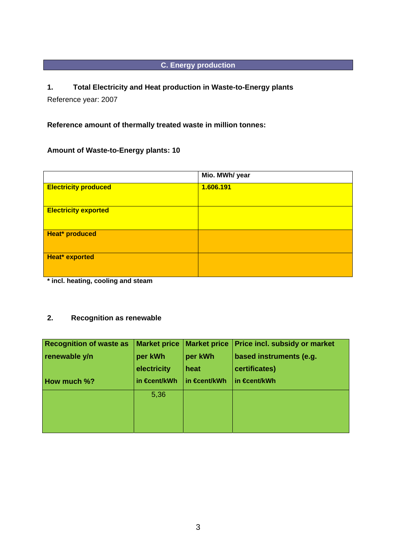# **C. Energy production**

# **1. Total Electricity and Heat production in Waste-to-Energy plants**

Reference year: 2007

# **Reference amount of thermally treated waste in million tonnes:**

# **Amount of Waste-to-Energy plants: 10**

|                             | Mio. MWh/ year |
|-----------------------------|----------------|
| <b>Electricity produced</b> | 1.606.191      |
| <b>Electricity exported</b> |                |
| Heat* produced              |                |
| Heat* exported              |                |

**\* incl. heating, cooling and steam** 

# **2. Recognition as renewable**

| <b>Recognition of waste as</b> |              | Market price   Market price | <b>Price incl. subsidy or market</b> |
|--------------------------------|--------------|-----------------------------|--------------------------------------|
| renewable y/n                  | per kWh      | per kWh                     | based instruments (e.g.              |
|                                | electricity  | heat                        | certificates)                        |
| <b>How much %?</b>             | in €cent/kWh | in €cent/kWh                | in <del>€c</del> ent/kWh             |
|                                | 5,36         |                             |                                      |
|                                |              |                             |                                      |
|                                |              |                             |                                      |
|                                |              |                             |                                      |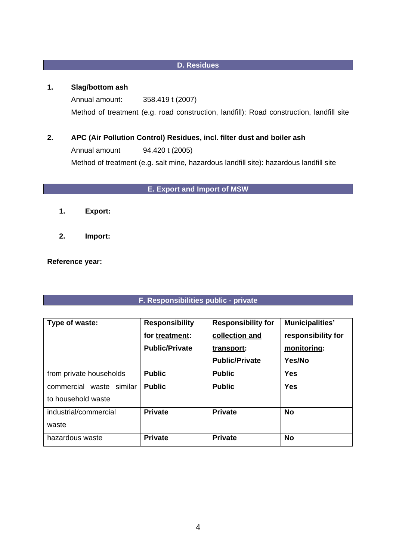# **D. Residues**

## **1. Slag/bottom ash**

 Annual amount: 358.419 t (2007) Method of treatment (e.g. road construction, landfill): Road construction, landfill site

**2. APC (Air Pollution Control) Residues, incl. filter dust and boiler ash**  Annual amount 94.420 t (2005) Method of treatment (e.g. salt mine, hazardous landfill site): hazardous landfill site

# **E. Export and Import of MSW**

- **1. Export:**
- **2. Import:**

#### **Reference year:**

# **F. Responsibilities public - private**

| Type of waste:                 | <b>Responsibility</b> | <b>Responsibility for</b> | <b>Municipalities'</b> |
|--------------------------------|-----------------------|---------------------------|------------------------|
|                                | for treatment:        | collection and            | responsibility for     |
|                                | <b>Public/Private</b> | transport:                | monitoring:            |
|                                |                       | <b>Public/Private</b>     | Yes/No                 |
| from private households        | <b>Public</b>         | <b>Public</b>             | Yes                    |
| commercial<br>similar<br>waste | <b>Public</b>         | <b>Public</b>             | <b>Yes</b>             |
| to household waste             |                       |                           |                        |
| industrial/commercial          | <b>Private</b>        | <b>Private</b>            | <b>No</b>              |
| waste                          |                       |                           |                        |
| hazardous waste                | <b>Private</b>        | <b>Private</b>            | <b>No</b>              |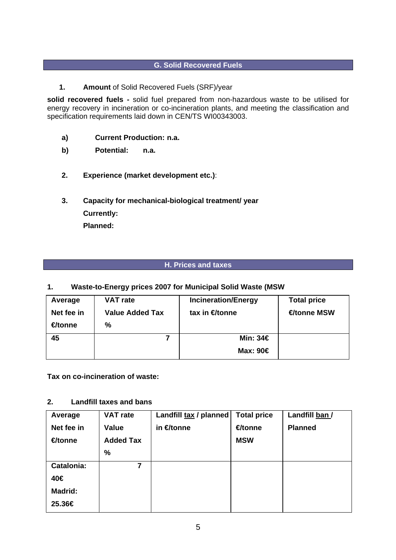# **G. Solid Recovered Fuels**

**1. Amount** of Solid Recovered Fuels (SRF)/year

**solid recovered fuels -** solid fuel prepared from non-hazardous waste to be utilised for energy recovery in incineration or co-incineration plants, and meeting the classification and specification requirements laid down in CEN/TS WI00343003.

- **a) Current Production: n.a.**
- **b) Potential: n.a.**
- **2. Experience (market development etc.)**:
- **3. Capacity for mechanical-biological treatment/ year Currently: Planned:**

#### **H. Prices and taxes**

#### **1. Waste-to-Energy prices 2007 for Municipal Solid Waste (MSW**

| Average    | <b>VAT rate</b>        | <b>Incineration/Energy</b> | <b>Total price</b> |
|------------|------------------------|----------------------------|--------------------|
| Net fee in | <b>Value Added Tax</b> | tax in $\bigoplus$ tonne   | <b>€tonne MSW</b>  |
| €tonne     | %                      |                            |                    |
| 45         |                        | Min: 34€                   |                    |
|            |                        | Max: 90€                   |                    |

**Tax on co-incineration of waste:** 

#### **2. Landfill taxes and bans**

| Average        | <b>VAT rate</b>  | Landfill tax / planned | <b>Total price</b> | Landfill ban / |
|----------------|------------------|------------------------|--------------------|----------------|
| Net fee in     | Value            | in <del>€</del> tonne  | €tonne             | <b>Planned</b> |
| €tonne         | <b>Added Tax</b> |                        | <b>MSW</b>         |                |
|                | %                |                        |                    |                |
| Catalonia:     | 7                |                        |                    |                |
| 40€            |                  |                        |                    |                |
| <b>Madrid:</b> |                  |                        |                    |                |
| 25.36€         |                  |                        |                    |                |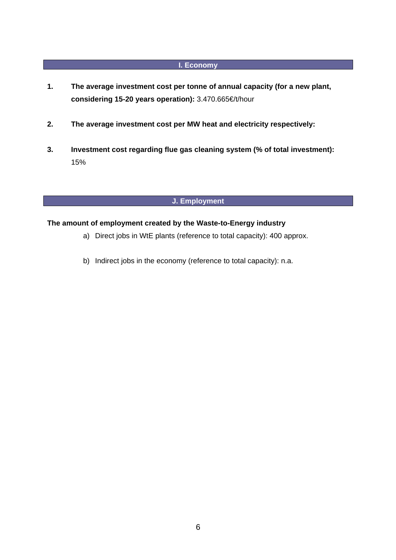# **I. Economy**

- **1. The average investment cost per tonne of annual capacity (for a new plant, considering 15-20 years operation):** 3.470.665€/t/hour
- **2. The average investment cost per MW heat and electricity respectively:**
- **3. Investment cost regarding flue gas cleaning system (% of total investment):**  15%

# **J. Employment**

# **The amount of employment created by the Waste-to-Energy industry**

- a) Direct jobs in WtE plants (reference to total capacity): 400 approx.
- b) Indirect jobs in the economy (reference to total capacity): n.a.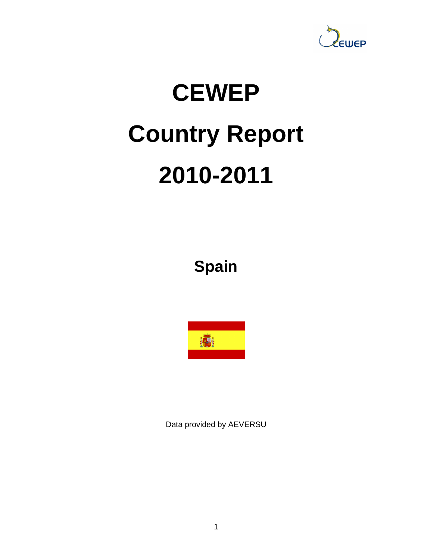

# **CEWEP Country Report 2010-2011**

**Spain** 



Data provided by AEVERSU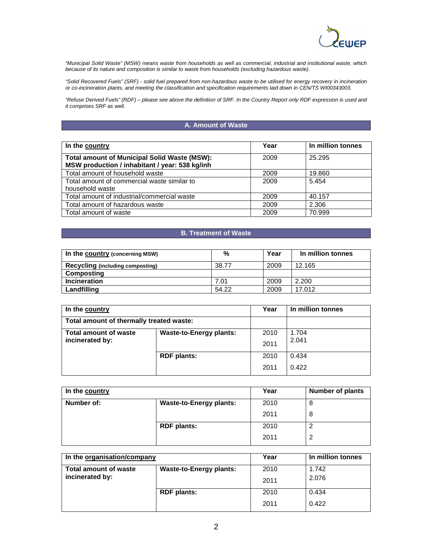

"Municipal Solid Waste" (MSW) means waste from households as well as commercial, industrial and institutional waste, which because of its nature and composition is similar to waste from households (excluding hazardous waste).

"Solid Recovered Fuels" (SRF) - solid fuel prepared from non-hazardous waste to be utilised for energy recovery in incineration or co-incineration plants, and meeting the classification and specification requirements laid down in CEN/TS WI00343003.

"Refuse Derived Fuels" (RDF) – please see above the definition of SRF. In the Country Report only RDF expression is used and it comprises SRF as well.

#### **A. Amount of Waste**

| In the country                                                                                        | Year | In million tonnes |
|-------------------------------------------------------------------------------------------------------|------|-------------------|
| <b>Total amount of Municipal Solid Waste (MSW):</b><br>MSW production / inhabitant / year: 538 kg/inh | 2009 | 25.295            |
| Total amount of household waste                                                                       | 2009 | 19.860            |
| Total amount of commercial waste similar to<br>household waste                                        | 2009 | 5.454             |
| Total amount of industrial/commercial waste                                                           | 2009 | 40.157            |
| Total amount of hazardous waste                                                                       | 2009 | 2.306             |
| Total amount of waste                                                                                 | 2009 | 70.999            |

#### **B. Treatment of Waste**

| In the country (concerning MSW)         | %     | Year | In million tonnes |
|-----------------------------------------|-------|------|-------------------|
| <b>Recycling (including composting)</b> | 38.77 | 2009 | 12.165            |
| Composting                              |       |      |                   |
| <b>Incineration</b>                     | 7.01  | 2009 | 2.200             |
| Landfilling                             | 54.22 | 2009 | 17.012            |

| In the country                                  |                                | Year | In million tonnes |
|-------------------------------------------------|--------------------------------|------|-------------------|
| Total amount of thermally treated waste:        |                                |      |                   |
| <b>Total amount of waste</b><br>incinerated by: | <b>Waste-to-Energy plants:</b> | 2010 | 1.704             |
|                                                 |                                | 2011 | 2.041             |
|                                                 | <b>RDF</b> plants:             | 2010 | 0.434             |
|                                                 |                                | 2011 | 0.422             |

| In the country |                                | Year | <b>Number of plants</b> |
|----------------|--------------------------------|------|-------------------------|
| Number of:     | <b>Waste-to-Energy plants:</b> | 2010 | 8                       |
|                |                                | 2011 | 8                       |
|                | <b>RDF</b> plants:             | 2010 | 2                       |
|                |                                | 2011 | 2                       |

| In the organisation/company                                    |      | Year  | In million tonnes |
|----------------------------------------------------------------|------|-------|-------------------|
| <b>Total amount of waste</b><br><b>Waste-to-Energy plants:</b> |      | 2010  | 1.742             |
| incinerated by:<br><b>RDF</b> plants:                          |      | 2011  | 2.076             |
|                                                                | 2010 | 0.434 |                   |
|                                                                |      | 2011  | 0.422             |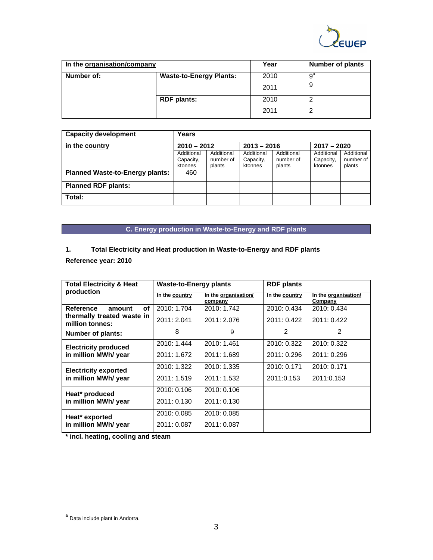

| In the organisation/company |                                | Year | <b>Number of plants</b> |
|-----------------------------|--------------------------------|------|-------------------------|
| Number of:                  | <b>Waste-to-Energy Plants:</b> | 2010 | $\overline{9}^a$        |
|                             |                                | 2011 | 9                       |
|                             | <b>RDF</b> plants:             | 2010 | ◠                       |
|                             |                                | 2011 | 2                       |

| <b>Capacity development</b>            | Years                          |            |            |               |            |            |
|----------------------------------------|--------------------------------|------------|------------|---------------|------------|------------|
| in the country                         | $2013 - 2016$<br>$2010 - 2012$ |            |            | $2017 - 2020$ |            |            |
|                                        | Additional                     | Additional | Additional | Additional    | Additional | Additional |
|                                        | Capacity,                      | number of  | Capacity,  | number of     | Capacity,  | number of  |
|                                        | ktonnes                        | plants     | ktonnes    | plants        | ktonnes    | plants     |
| <b>Planned Waste-to-Energy plants:</b> | 460                            |            |            |               |            |            |
| <b>Planned RDF plants:</b>             |                                |            |            |               |            |            |
| Total:                                 |                                |            |            |               |            |            |

# **C. Energy production in Waste-to-Energy and RDF plants**

#### **1. Total Electricity and Heat production in Waste-to-Energy and RDF plants**

**Reference year: 2010**

| <b>Total Electricity &amp; Heat</b>           | <b>Waste-to-Energy plants</b> |                                 | <b>RDF</b> plants |                                 |
|-----------------------------------------------|-------------------------------|---------------------------------|-------------------|---------------------------------|
| production                                    | In the country                | In the organisation/<br>company | In the country    | In the organisation/<br>Company |
| οf<br><b>Reference</b><br>amount              | 2010: 1.704                   | 2010: 1.742                     | 2010: 0.434       | 2010: 0.434                     |
| thermally treated waste in<br>million tonnes: | 2011: 2.041                   | 2011: 2.076                     | 2011: 0.422       | 2011: 0.422                     |
| <b>Number of plants:</b>                      | 8                             | 9                               | 2                 | $\mathfrak{p}$                  |
| <b>Electricity produced</b>                   | 2010: 1.444                   | 2010: 1.461                     | 2010: 0.322       | 2010: 0.322                     |
| in million MWh/ year                          | 2011: 1.672                   | 2011: 1.689                     | 2011: 0.296       | 2011: 0.296                     |
| <b>Electricity exported</b>                   | 2010: 1.322                   | 2010: 1.335                     | 2010: 0.171       | 2010: 0.171                     |
| in million MWh/ year                          | 2011: 1.519                   | 2011: 1.532                     | 2011:0.153        | 2011:0.153                      |
| Heat* produced                                | 2010: 0.106                   | 2010: 0.106                     |                   |                                 |
| in million MWh/ year                          | 2011: 0.130                   | 2011: 0.130                     |                   |                                 |
| Heat* exported                                | 2010: 0.085                   | 2010: 0.085                     |                   |                                 |
| in million MWh/ year                          | 2011: 0.087                   | 2011: 0.087                     |                   |                                 |

**\* incl. heating, cooling and steam** 

 $\overline{a}$ 

a<br>Data include plant in Andorra.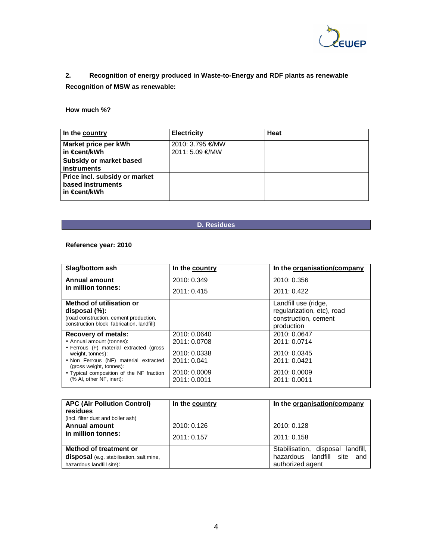

# **2. Recognition of energy produced in Waste-to-Energy and RDF plants as renewable Recognition of MSW as renewable:**

#### **How much %?**

| In the country                                                       | <b>Electricity</b>                  | Heat |
|----------------------------------------------------------------------|-------------------------------------|------|
| Market price per kWh<br>l in €cent/kWh                               | 2010: 3.795 €/MW<br>2011: 5.09 €/MW |      |
| <b>Subsidy or market based</b><br>l instruments                      |                                     |      |
| Price incl. subsidy or market<br>based instruments<br>l in €cent/kWh |                                     |      |

#### **D. Residues**

#### **Reference year: 2010**

| Slag/bottom ash                                                  | In the country | In the organisation/company |
|------------------------------------------------------------------|----------------|-----------------------------|
| <b>Annual amount</b>                                             | 2010: 0.349    | 2010: 0.356                 |
| in million tonnes:                                               | 2011: 0.415    | 2011: 0.422                 |
| Method of utilisation or                                         |                | Landfill use (ridge,        |
| disposal $(\%)$ :                                                |                | regularization, etc), road  |
| (road construction, cement production,                           |                | construction, cement        |
| construction block fabrication, landfill)                        |                | production                  |
| <b>Recovery of metals:</b>                                       | 2010: 0.0640   | 2010: 0.0647                |
| • Annual amount (tonnes):                                        | 2011: 0.0708   | 2011: 0.0714                |
| • Ferrous (F) material extracted (gross<br>weight, tonnes):      | 2010: 0.0338   | 2010: 0.0345                |
| • Non Ferrous (NF) material extracted<br>(gross weight, tonnes): | 2011: 0.041    | 2011: 0.0421                |
| • Typical composition of the NF fraction                         | 2010: 0.0009   | 2010: 0.0009                |
| (% Al, other NF, inert):                                         | 2011: 0.0011   | 2011: 0.0011                |

| <b>APC (Air Pollution Control)</b><br>residues<br>(incl. filter dust and boiler ash) | In the country | In the organisation/company       |
|--------------------------------------------------------------------------------------|----------------|-----------------------------------|
| <b>Annual amount</b>                                                                 | 2010: 0.126    | 2010: 0.128                       |
| in million tonnes:                                                                   | 2011: 0.157    | 2011: 0.158                       |
| Method of treatment or                                                               |                | Stabilisation, disposal landfill, |
| disposal (e.g. stabilisation, salt mine,                                             |                | hazardous landfill site and       |
| hazardous landfill site):                                                            |                | authorized agent                  |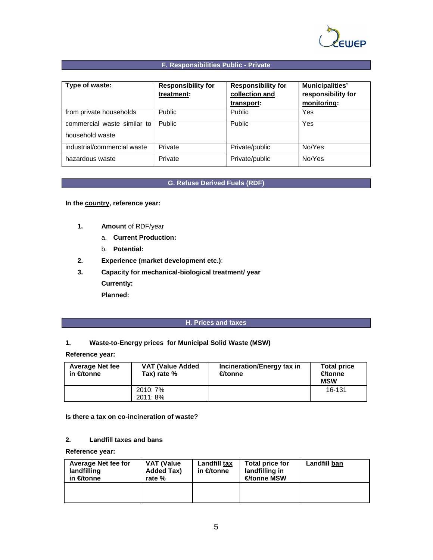

#### **F. Responsibilities Public - Private**

| Type of waste:                                 | <b>Responsibility for</b><br>treatment: | <b>Responsibility for</b><br>collection and<br>transport: | <b>Municipalities'</b><br>responsibility for<br>monitoring: |
|------------------------------------------------|-----------------------------------------|-----------------------------------------------------------|-------------------------------------------------------------|
| from private households                        | <b>Public</b>                           | <b>Public</b>                                             | Yes                                                         |
| commercial waste similar to<br>household waste | <b>Public</b>                           | <b>Public</b>                                             | Yes                                                         |
| industrial/commercial waste                    | Private                                 | Private/public                                            | No/Yes                                                      |
| hazardous waste                                | Private                                 | Private/public                                            | No/Yes                                                      |

#### **G. Refuse Derived Fuels (RDF)**

**In the country, reference year:** 

- **1. Amount** of RDF/year
	- a. **Current Production:**
	- b. **Potential:**
- **2. Experience (market development etc.)**:
- **3. Capacity for mechanical-biological treatment/ year**

**Currently: Planned:**

#### **H. Prices and taxes**

#### **1. Waste-to-Energy prices for Municipal Solid Waste (MSW)**

**Reference year:** 

| <b>Average Net fee</b><br>in €/tonne | <b>VAT (Value Added)</b><br>Tax) rate % | Incineration/Energy tax in<br>€/tonne | <b>Total price</b><br>€/tonne<br><b>MSW</b> |
|--------------------------------------|-----------------------------------------|---------------------------------------|---------------------------------------------|
|                                      | 2010: 7%<br>2011: 8%                    |                                       | 16-131                                      |

#### **Is there a tax on co-incineration of waste?**

#### **2. Landfill taxes and bans**

**Reference year:** 

| <b>Average Net fee for</b><br>landfilling<br>in €/tonne | VAT (Value<br>Added Tax)<br>rate % | Landfill tax<br>in €/tonne | <b>Total price for</b><br>landfilling in<br>€/tonne MSW | Landfill ban |
|---------------------------------------------------------|------------------------------------|----------------------------|---------------------------------------------------------|--------------|
|                                                         |                                    |                            |                                                         |              |